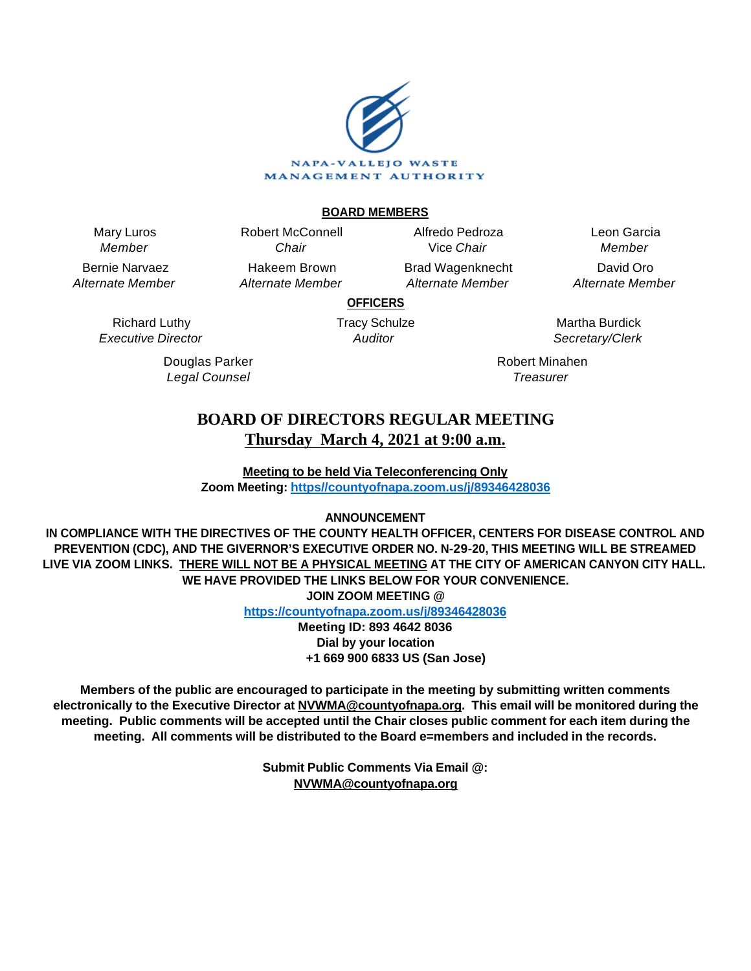

# **BOARD MEMBERS**

Mary Luros Member

Bernie Narvaez Alternate Member

Chair Hakeem Brown Alternate Member

Robert McConnell

Alfredo Pedroza Vice Chair Brad Wagenknecht

Alternate Member

Leon Garcia Member David Oro Alternate Member

**OFFICERS**

Richard Luthy Executive Director

> Douglas Parker Legal Counsel

Tracy Schulze **Auditor** 

Martha Burdick Secretary/Clerk

Robert Minahen **Treasurer** 

# **BOARD OF DIRECTORS REGULAR MEETING Thursday March 4, 2021 at 9:00 a.m.**

**Meeting to be held Via Teleconferencing Only Zoom Meeting: [https//countyofnapa.zoom.us/j/89346428036](http://intranetprod01/AgendaNet/Reports/https//countyofnapa.zoom.us/j/99111938225)**

# **ANNOUNCEMENT**

**IN COMPLIANCE WITH THE DIRECTIVES OF THE COUNTY HEALTH OFFICER, CENTERS FOR DISEASE CONTROL AND PREVENTION (CDC), AND THE GIVERNOR'S EXECUTIVE ORDER NO. N-29-20, THIS MEETING WILL BE STREAMED LIVE VIA ZOOM LINKS. THERE WILL NOT BE A PHYSICAL MEETING AT THE CITY OF AMERICAN CANYON CITY HALL. WE HAVE PROVIDED THE LINKS BELOW FOR YOUR CONVENIENCE. JOIN ZOOM MEETING @**

**<https://countyofnapa.zoom.us/j/89346428036>**

**Meeting ID: 893 4642 8036 Dial by your location +1 669 900 6833 US (San Jose)**

**Members of the public are encouraged to participate in the meeting by submitting written comments electronically to the Executive Director at NVWMA@countyofnapa.org. This email will be monitored during the meeting. Public comments will be accepted until the Chair closes public comment for each item during the meeting. All comments will be distributed to the Board e=members and included in the records.**

> **Submit Public Comments Via Email @: NVWMA@countyofnapa.org**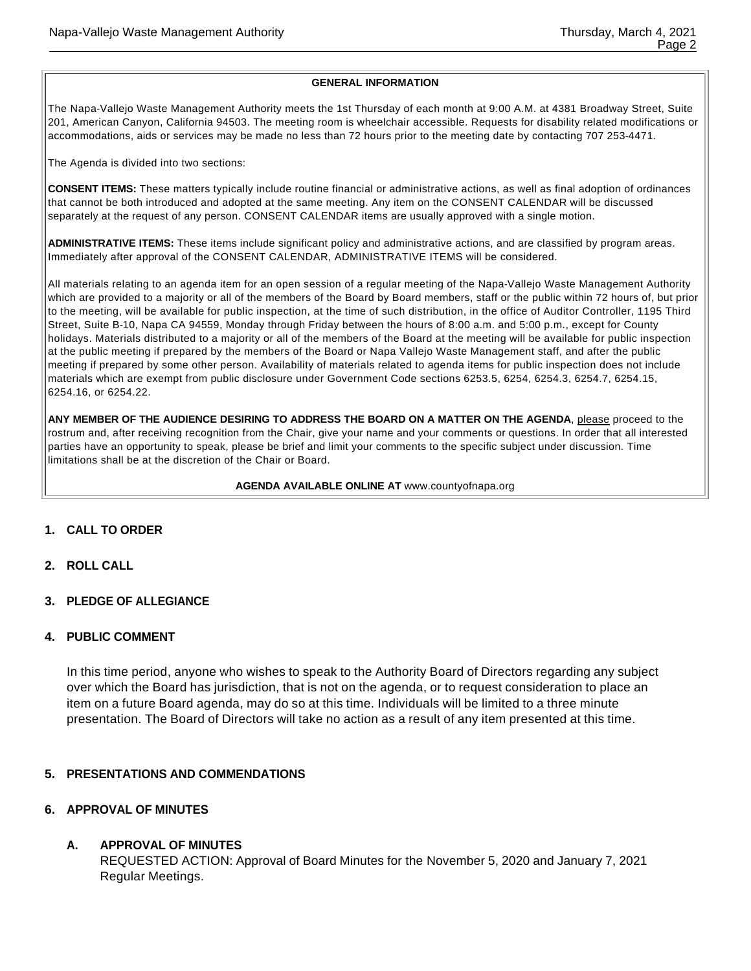#### **GENERAL INFORMATION**

The Napa-Vallejo Waste Management Authority meets the 1st Thursday of each month at 9:00 A.M. at 4381 Broadway Street, Suite 201, American Canyon, California 94503. The meeting room is wheelchair accessible. Requests for disability related modifications or accommodations, aids or services may be made no less than 72 hours prior to the meeting date by contacting 707 253-4471.

The Agenda is divided into two sections:

**CONSENT ITEMS:** These matters typically include routine financial or administrative actions, as well as final adoption of ordinances that cannot be both introduced and adopted at the same meeting. Any item on the CONSENT CALENDAR will be discussed separately at the request of any person. CONSENT CALENDAR items are usually approved with a single motion.

**ADMINISTRATIVE ITEMS:** These items include significant policy and administrative actions, and are classified by program areas. Immediately after approval of the CONSENT CALENDAR, ADMINISTRATIVE ITEMS will be considered.

All materials relating to an agenda item for an open session of a regular meeting of the Napa-Vallejo Waste Management Authority which are provided to a majority or all of the members of the Board by Board members, staff or the public within 72 hours of, but prior to the meeting, will be available for public inspection, at the time of such distribution, in the office of Auditor Controller, 1195 Third Street, Suite B-10, Napa CA 94559, Monday through Friday between the hours of 8:00 a.m. and 5:00 p.m., except for County holidays. Materials distributed to a majority or all of the members of the Board at the meeting will be available for public inspection at the public meeting if prepared by the members of the Board or Napa Vallejo Waste Management staff, and after the public meeting if prepared by some other person. Availability of materials related to agenda items for public inspection does not include materials which are exempt from public disclosure under Government Code sections 6253.5, 6254, 6254.3, 6254.7, 6254.15, 6254.16, or 6254.22.

**ANY MEMBER OF THE AUDIENCE DESIRING TO ADDRESS THE BOARD ON A MATTER ON THE AGENDA**, please proceed to the rostrum and, after receiving recognition from the Chair, give your name and your comments or questions. In order that all interested parties have an opportunity to speak, please be brief and limit your comments to the specific subject under discussion. Time limitations shall be at the discretion of the Chair or Board.

#### **AGENDA AVAILABLE ONLINE AT** www.countyofnapa.org

# **1. CALL TO ORDER**

- **2. ROLL CALL**
- **3. PLEDGE OF ALLEGIANCE**

#### **4. PUBLIC COMMENT**

In this time period, anyone who wishes to speak to the Authority Board of Directors regarding any subject over which the Board has jurisdiction, that is not on the agenda, or to request consideration to place an item on a future Board agenda, may do so at this time. Individuals will be limited to a three minute presentation. The Board of Directors will take no action as a result of any item presented at this time.

#### **5. PRESENTATIONS AND COMMENDATIONS**

#### **6. APPROVAL OF MINUTES**

# **A. APPROVAL OF MINUTES**

REQUESTED ACTION: Approval of Board Minutes for the November 5, 2020 and January 7, 2021 Regular Meetings.